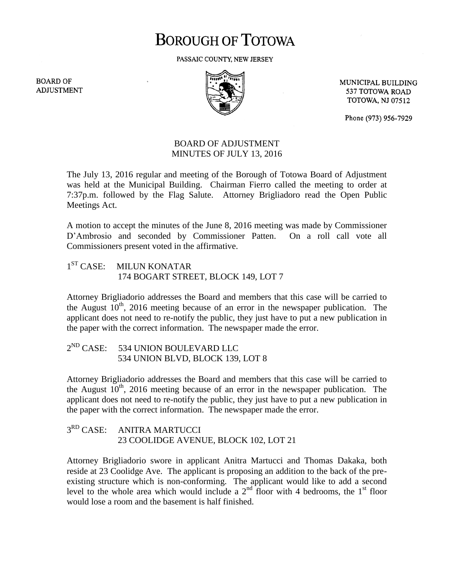# **BOROUGH OF TOTOWA**

PASSAIC COUNTY, NEW JERSEY

**BOARD OF ADJUSTMENT** 



MUNICIPAL BUILDING 537 TOTOWA ROAD **TOTOWA, NJ 07512** 

Phone (973) 956-7929

### BOARD OF ADJUSTMENT MINUTES OF JULY 13, 2016

The July 13, 2016 regular and meeting of the Borough of Totowa Board of Adjustment was held at the Municipal Building. Chairman Fierro called the meeting to order at 7:37p.m. followed by the Flag Salute. Attorney Brigliadoro read the Open Public Meetings Act.

A motion to accept the minutes of the June 8, 2016 meeting was made by Commissioner D'Ambrosio and seconded by Commissioner Patten. On a roll call vote all Commissioners present voted in the affirmative.

#### $1<sup>ST</sup> CASE:$ **MILUN KONATAR** 174 BOGART STREET, BLOCK 149, LOT 7

Attorney Brigliadorio addresses the Board and members that this case will be carried to the August  $10^{th}$ , 2016 meeting because of an error in the newspaper publication. The applicant does not need to re-notify the public, they just have to put a new publication in the paper with the correct information. The newspaper made the error.

#### $2^{ND}$  CASE: 534 UNION BOULEVARD LLC 534 UNION BLVD, BLOCK 139, LOT 8

Attorney Brigliadorio addresses the Board and members that this case will be carried to the August  $10^{th}$ , 2016 meeting because of an error in the newspaper publication. The applicant does not need to re-notify the public, they just have to put a new publication in the paper with the correct information. The newspaper made the error.

#### $3^{RD}$  CASE: ANITRA MARTUCCI 23 COOLIDGE AVENUE, BLOCK 102, LOT 21

Attorney Brigliadorio swore in applicant Anitra Martucci and Thomas Dakaka, both reside at 23 Coolidge Ave. The applicant is proposing an addition to the back of the preexisting structure which is non-conforming. The applicant would like to add a second level to the whole area which would include a  $2<sup>nd</sup>$  floor with 4 bedrooms, the 1<sup>st</sup> floor would lose a room and the basement is half finished.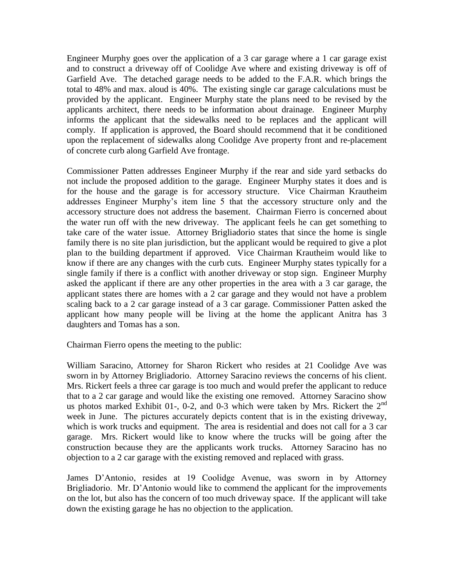Engineer Murphy goes over the application of a 3 car garage where a 1 car garage exist and to construct a driveway off of Coolidge Ave where and existing driveway is off of Garfield Ave. The detached garage needs to be added to the F.A.R. which brings the total to 48% and max. aloud is 40%. The existing single car garage calculations must be provided by the applicant. Engineer Murphy state the plans need to be revised by the applicants architect, there needs to be information about drainage. Engineer Murphy informs the applicant that the sidewalks need to be replaces and the applicant will comply. If application is approved, the Board should recommend that it be conditioned upon the replacement of sidewalks along Coolidge Ave property front and re-placement of concrete curb along Garfield Ave frontage.

Commissioner Patten addresses Engineer Murphy if the rear and side yard setbacks do not include the proposed addition to the garage. Engineer Murphy states it does and is for the house and the garage is for accessory structure. Vice Chairman Krautheim addresses Engineer Murphy's item line 5 that the accessory structure only and the accessory structure does not address the basement. Chairman Fierro is concerned about the water run off with the new driveway. The applicant feels he can get something to take care of the water issue. Attorney Brigliadorio states that since the home is single family there is no site plan jurisdiction, but the applicant would be required to give a plot plan to the building department if approved. Vice Chairman Krautheim would like to know if there are any changes with the curb cuts. Engineer Murphy states typically for a single family if there is a conflict with another driveway or stop sign. Engineer Murphy asked the applicant if there are any other properties in the area with a 3 car garage, the applicant states there are homes with a 2 car garage and they would not have a problem scaling back to a 2 car garage instead of a 3 car garage. Commissioner Patten asked the applicant how many people will be living at the home the applicant Anitra has 3 daughters and Tomas has a son.

Chairman Fierro opens the meeting to the public:

William Saracino, Attorney for Sharon Rickert who resides at 21 Coolidge Ave was sworn in by Attorney Brigliadorio. Attorney Saracino reviews the concerns of his client. Mrs. Rickert feels a three car garage is too much and would prefer the applicant to reduce that to a 2 car garage and would like the existing one removed. Attorney Saracino show us photos marked Exhibit 01-, 0-2, and 0-3 which were taken by Mrs. Rickert the  $2<sup>nd</sup>$ week in June. The pictures accurately depicts content that is in the existing driveway, which is work trucks and equipment. The area is residential and does not call for a 3 car garage. Mrs. Rickert would like to know where the trucks will be going after the construction because they are the applicants work trucks. Attorney Saracino has no objection to a 2 car garage with the existing removed and replaced with grass.

James D'Antonio, resides at 19 Coolidge Avenue, was sworn in by Attorney Brigliadorio. Mr. D'Antonio would like to commend the applicant for the improvements on the lot, but also has the concern of too much driveway space. If the applicant will take down the existing garage he has no objection to the application.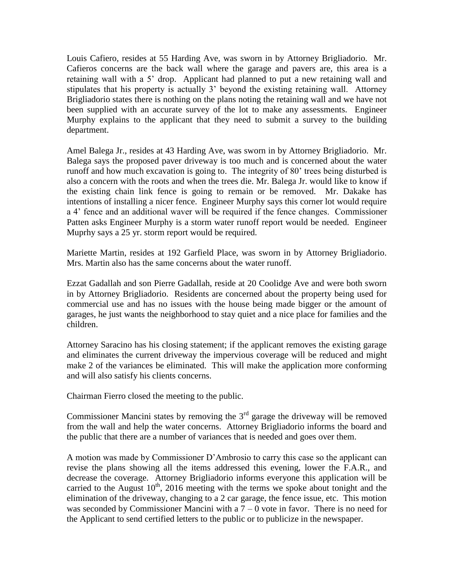Louis Cafiero, resides at 55 Harding Ave, was sworn in by Attorney Brigliadorio. Mr. Cafieros concerns are the back wall where the garage and pavers are, this area is a retaining wall with a 5' drop. Applicant had planned to put a new retaining wall and stipulates that his property is actually 3' beyond the existing retaining wall. Attorney Brigliadorio states there is nothing on the plans noting the retaining wall and we have not been supplied with an accurate survey of the lot to make any assessments. Engineer Murphy explains to the applicant that they need to submit a survey to the building department.

Amel Balega Jr., resides at 43 Harding Ave, was sworn in by Attorney Brigliadorio. Mr. Balega says the proposed paver driveway is too much and is concerned about the water runoff and how much excavation is going to. The integrity of 80' trees being disturbed is also a concern with the roots and when the trees die. Mr. Balega Jr. would like to know if the existing chain link fence is going to remain or be removed. Mr. Dakake has intentions of installing a nicer fence. Engineer Murphy says this corner lot would require a 4' fence and an additional waver will be required if the fence changes. Commissioner Patten asks Engineer Murphy is a storm water runoff report would be needed. Engineer Muprhy says a 25 yr. storm report would be required.

Mariette Martin, resides at 192 Garfield Place, was sworn in by Attorney Brigliadorio. Mrs. Martin also has the same concerns about the water runoff.

Ezzat Gadallah and son Pierre Gadallah, reside at 20 Coolidge Ave and were both sworn in by Attorney Brigliadorio. Residents are concerned about the property being used for commercial use and has no issues with the house being made bigger or the amount of garages, he just wants the neighborhood to stay quiet and a nice place for families and the children.

Attorney Saracino has his closing statement; if the applicant removes the existing garage and eliminates the current driveway the impervious coverage will be reduced and might make 2 of the variances be eliminated. This will make the application more conforming and will also satisfy his clients concerns.

Chairman Fierro closed the meeting to the public.

Commissioner Mancini states by removing the  $3<sup>rd</sup>$  garage the driveway will be removed from the wall and help the water concerns. Attorney Brigliadorio informs the board and the public that there are a number of variances that is needed and goes over them.

A motion was made by Commissioner D'Ambrosio to carry this case so the applicant can revise the plans showing all the items addressed this evening, lower the F.A.R., and decrease the coverage. Attorney Brigliadorio informs everyone this application will be carried to the August  $10<sup>th</sup>$ , 2016 meeting with the terms we spoke about tonight and the elimination of the driveway, changing to a 2 car garage, the fence issue, etc. This motion was seconded by Commissioner Mancini with a  $7 - 0$  vote in favor. There is no need for the Applicant to send certified letters to the public or to publicize in the newspaper.